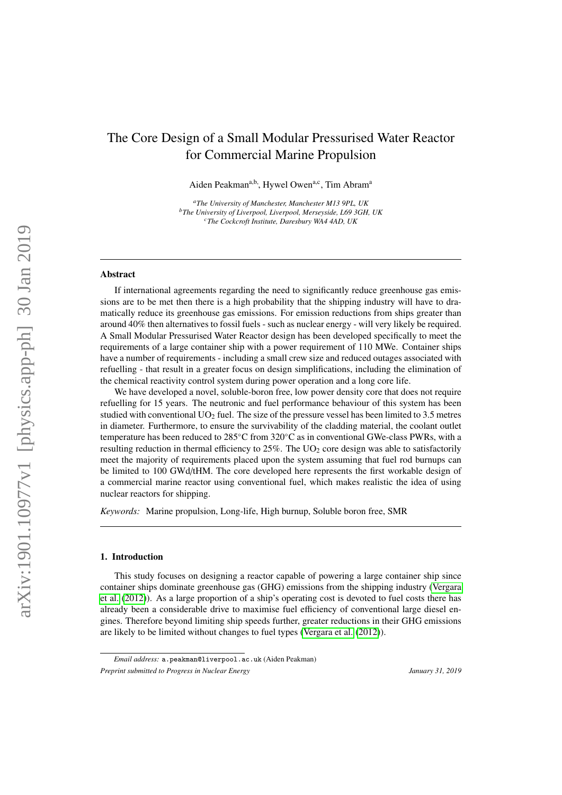# The Core Design of a Small Modular Pressurised Water Reactor for Commercial Marine Propulsion

Aiden Peakman<sup>a,b</sup>, Hywel Owen<sup>a,c</sup>, Tim Abram<sup>a</sup>

*<sup>a</sup>The University of Manchester, Manchester M13 9PL, UK <sup>b</sup>The University of Liverpool, Liverpool, Merseyside, L69 3GH, UK <sup>c</sup>The Cockcroft Institute, Daresbury WA4 4AD, UK*

### Abstract

If international agreements regarding the need to significantly reduce greenhouse gas emissions are to be met then there is a high probability that the shipping industry will have to dramatically reduce its greenhouse gas emissions. For emission reductions from ships greater than around 40% then alternatives to fossil fuels - such as nuclear energy - will very likely be required. A Small Modular Pressurised Water Reactor design has been developed specifically to meet the requirements of a large container ship with a power requirement of 110 MWe. Container ships have a number of requirements - including a small crew size and reduced outages associated with refuelling - that result in a greater focus on design simplifications, including the elimination of the chemical reactivity control system during power operation and a long core life.

We have developed a novel, soluble-boron free, low power density core that does not require refuelling for 15 years. The neutronic and fuel performance behaviour of this system has been studied with conventional  $UO<sub>2</sub>$  fuel. The size of the pressure vessel has been limited to 3.5 metres in diameter. Furthermore, to ensure the survivability of the cladding material, the coolant outlet temperature has been reduced to 285◦C from 320◦C as in conventional GWe-class PWRs, with a resulting reduction in thermal efficiency to  $25\%$ . The  $UO<sub>2</sub>$  core design was able to satisfactorily meet the majority of requirements placed upon the system assuming that fuel rod burnups can be limited to 100 GWd/tHM. The core developed here represents the first workable design of a commercial marine reactor using conventional fuel, which makes realistic the idea of using nuclear reactors for shipping.

*Keywords:* Marine propulsion, Long-life, High burnup, Soluble boron free, SMR

### 1. Introduction

This study focuses on designing a reactor capable of powering a large container ship since container ships dominate greenhouse gas (GHG) emissions from the shipping industry [\(Vergara](#page-19-0) [et al.](#page-19-0) [\(2012\)](#page-19-0)). As a large proportion of a ship's operating cost is devoted to fuel costs there has already been a considerable drive to maximise fuel efficiency of conventional large diesel engines. Therefore beyond limiting ship speeds further, greater reductions in their GHG emissions are likely to be limited without changes to fuel types [\(Vergara et al.](#page-19-0) [\(2012\)](#page-19-0)).

*Email address:* a.peakman@liverpool.ac.uk (Aiden Peakman)

*Preprint submitted to Progress in Nuclear Energy* January 31, 2019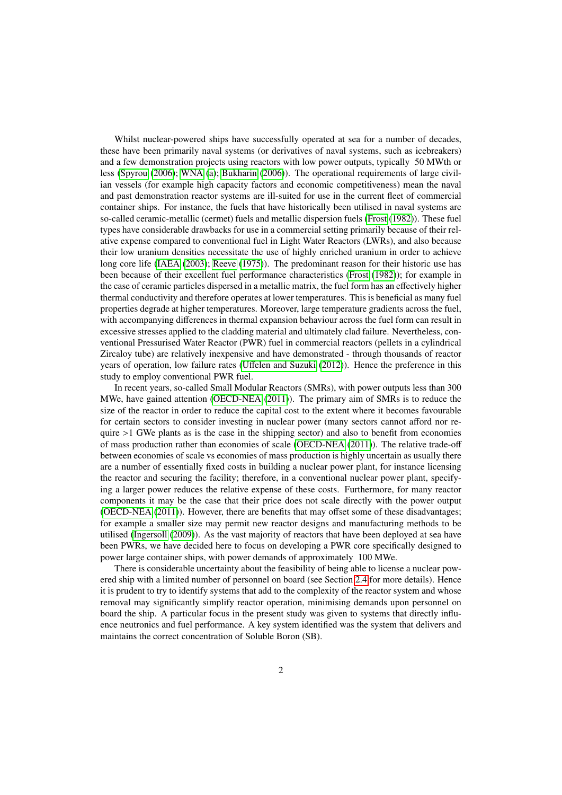Whilst nuclear-powered ships have successfully operated at sea for a number of decades, these have been primarily naval systems (or derivatives of naval systems, such as icebreakers) and a few demonstration projects using reactors with low power outputs, typically 50 MWth or less [\(Spyrou](#page-19-1) [\(2006\)](#page-19-1); [WNA](#page-19-2) [\(a\)](#page-19-2); [Bukharin](#page-19-3) [\(2006\)](#page-19-3)). The operational requirements of large civilian vessels (for example high capacity factors and economic competitiveness) mean the naval and past demonstration reactor systems are ill-suited for use in the current fleet of commercial container ships. For instance, the fuels that have historically been utilised in naval systems are so-called ceramic-metallic (cermet) fuels and metallic dispersion fuels [\(Frost](#page-19-4) [\(1982\)](#page-19-4)). These fuel types have considerable drawbacks for use in a commercial setting primarily because of their relative expense compared to conventional fuel in Light Water Reactors (LWRs), and also because their low uranium densities necessitate the use of highly enriched uranium in order to achieve long core life [\(IAEA](#page-19-5) [\(2003\)](#page-19-5); [Reeve](#page-19-6) [\(1975\)](#page-19-6)). The predominant reason for their historic use has been because of their excellent fuel performance characteristics [\(Frost](#page-19-4) [\(1982\)](#page-19-4)); for example in the case of ceramic particles dispersed in a metallic matrix, the fuel form has an effectively higher thermal conductivity and therefore operates at lower temperatures. This is beneficial as many fuel properties degrade at higher temperatures. Moreover, large temperature gradients across the fuel, with accompanying differences in thermal expansion behaviour across the fuel form can result in excessive stresses applied to the cladding material and ultimately clad failure. Nevertheless, conventional Pressurised Water Reactor (PWR) fuel in commercial reactors (pellets in a cylindrical Zircaloy tube) are relatively inexpensive and have demonstrated - through thousands of reactor years of operation, low failure rates (Uff[elen and Suzuki](#page-19-7) [\(2012\)](#page-19-7)). Hence the preference in this study to employ conventional PWR fuel.

In recent years, so-called Small Modular Reactors (SMRs), with power outputs less than 300 MWe, have gained attention [\(OECD-NEA](#page-19-8) [\(2011\)](#page-19-8)). The primary aim of SMRs is to reduce the size of the reactor in order to reduce the capital cost to the extent where it becomes favourable for certain sectors to consider investing in nuclear power (many sectors cannot afford nor require  $>1$  GWe plants as is the case in the shipping sector) and also to benefit from economies of mass production rather than economies of scale [\(OECD-NEA](#page-19-8) [\(2011\)](#page-19-8)). The relative trade-off between economies of scale vs economies of mass production is highly uncertain as usually there are a number of essentially fixed costs in building a nuclear power plant, for instance licensing the reactor and securing the facility; therefore, in a conventional nuclear power plant, specifying a larger power reduces the relative expense of these costs. Furthermore, for many reactor components it may be the case that their price does not scale directly with the power output [\(OECD-NEA](#page-19-8) [\(2011\)](#page-19-8)). However, there are benefits that may offset some of these disadvantages; for example a smaller size may permit new reactor designs and manufacturing methods to be utilised [\(Ingersoll](#page-20-0) [\(2009\)](#page-20-0)). As the vast majority of reactors that have been deployed at sea have been PWRs, we have decided here to focus on developing a PWR core specifically designed to power large container ships, with power demands of approximately 100 MWe.

There is considerable uncertainty about the feasibility of being able to license a nuclear powered ship with a limited number of personnel on board (see Section [2.4](#page-4-0) for more details). Hence it is prudent to try to identify systems that add to the complexity of the reactor system and whose removal may significantly simplify reactor operation, minimising demands upon personnel on board the ship. A particular focus in the present study was given to systems that directly influence neutronics and fuel performance. A key system identified was the system that delivers and maintains the correct concentration of Soluble Boron (SB).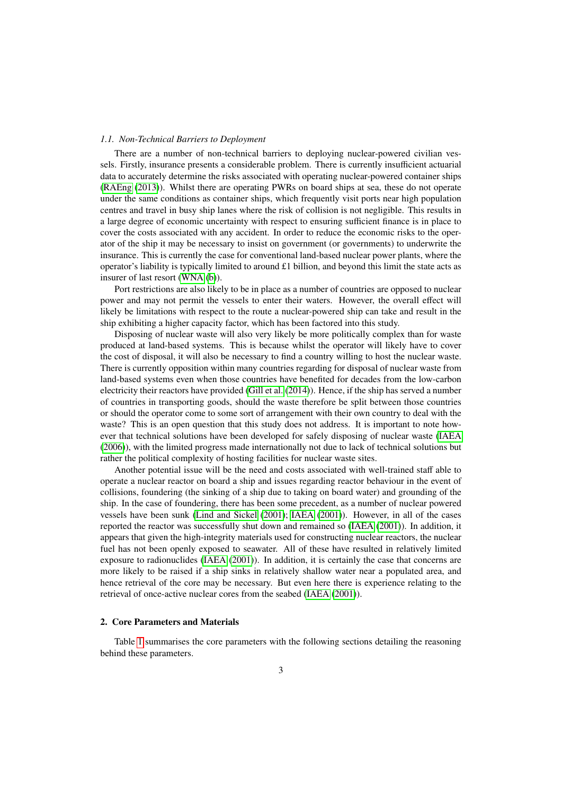### *1.1. Non-Technical Barriers to Deployment*

There are a number of non-technical barriers to deploying nuclear-powered civilian vessels. Firstly, insurance presents a considerable problem. There is currently insufficient actuarial data to accurately determine the risks associated with operating nuclear-powered container ships [\(RAEng](#page-20-1) [\(2013\)](#page-20-1)). Whilst there are operating PWRs on board ships at sea, these do not operate under the same conditions as container ships, which frequently visit ports near high population centres and travel in busy ship lanes where the risk of collision is not negligible. This results in a large degree of economic uncertainty with respect to ensuring sufficient finance is in place to cover the costs associated with any accident. In order to reduce the economic risks to the operator of the ship it may be necessary to insist on government (or governments) to underwrite the insurance. This is currently the case for conventional land-based nuclear power plants, where the operator's liability is typically limited to around  $\pounds 1$  billion, and beyond this limit the state acts as insurer of last resort [\(WNA](#page-20-2) [\(b\)](#page-20-2)).

Port restrictions are also likely to be in place as a number of countries are opposed to nuclear power and may not permit the vessels to enter their waters. However, the overall effect will likely be limitations with respect to the route a nuclear-powered ship can take and result in the ship exhibiting a higher capacity factor, which has been factored into this study.

Disposing of nuclear waste will also very likely be more politically complex than for waste produced at land-based systems. This is because whilst the operator will likely have to cover the cost of disposal, it will also be necessary to find a country willing to host the nuclear waste. There is currently opposition within many countries regarding for disposal of nuclear waste from land-based systems even when those countries have benefited for decades from the low-carbon electricity their reactors have provided [\(Gill et al.](#page-20-3) [\(2014\)](#page-20-3)). Hence, if the ship has served a number of countries in transporting goods, should the waste therefore be split between those countries or should the operator come to some sort of arrangement with their own country to deal with the waste? This is an open question that this study does not address. It is important to note however that technical solutions have been developed for safely disposing of nuclear waste [\(IAEA](#page-20-4) [\(2006\)](#page-20-4)), with the limited progress made internationally not due to lack of technical solutions but rather the political complexity of hosting facilities for nuclear waste sites.

Another potential issue will be the need and costs associated with well-trained staff able to operate a nuclear reactor on board a ship and issues regarding reactor behaviour in the event of collisions, foundering (the sinking of a ship due to taking on board water) and grounding of the ship. In the case of foundering, there has been some precedent, as a number of nuclear powered vessels have been sunk [\(Lind and Sickel](#page-20-5) [\(2001\)](#page-20-5); [IAEA](#page-20-6) [\(2001\)](#page-20-6)). However, in all of the cases reported the reactor was successfully shut down and remained so [\(IAEA](#page-20-6) [\(2001\)](#page-20-6)). In addition, it appears that given the high-integrity materials used for constructing nuclear reactors, the nuclear fuel has not been openly exposed to seawater. All of these have resulted in relatively limited exposure to radionuclides [\(IAEA](#page-20-6) [\(2001\)](#page-20-6)). In addition, it is certainly the case that concerns are more likely to be raised if a ship sinks in relatively shallow water near a populated area, and hence retrieval of the core may be necessary. But even here there is experience relating to the retrieval of once-active nuclear cores from the seabed [\(IAEA](#page-20-6) [\(2001\)](#page-20-6)).

### 2. Core Parameters and Materials

Table [1](#page-3-0) summarises the core parameters with the following sections detailing the reasoning behind these parameters.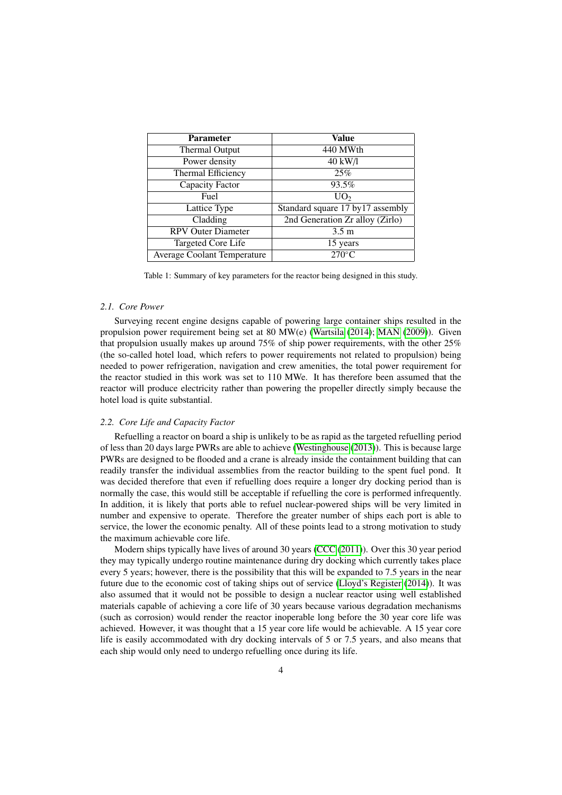<span id="page-3-0"></span>

| <b>Parameter</b>                   | Value                             |
|------------------------------------|-----------------------------------|
| Thermal Output                     | 440 MWth                          |
| Power density                      | 40 kW/l                           |
| Thermal Efficiency                 | 25%                               |
| Capacity Factor                    | 93.5%                             |
| Fuel                               | UO <sub>2</sub>                   |
| Lattice Type                       | Standard square 17 by 17 assembly |
| Cladding                           | 2nd Generation Zr alloy (Zirlo)   |
| <b>RPV Outer Diameter</b>          | 3.5 <sub>m</sub>                  |
| Targeted Core Life                 | 15 years                          |
| <b>Average Coolant Temperature</b> | $270^{\circ}$ C                   |

Table 1: Summary of key parameters for the reactor being designed in this study.

### *2.1. Core Power*

Surveying recent engine designs capable of powering large container ships resulted in the propulsion power requirement being set at 80 MW(e) [\(Wartsila](#page-20-7) [\(2014\)](#page-20-7); [MAN](#page-20-8) [\(2009\)](#page-20-8)). Given that propulsion usually makes up around 75% of ship power requirements, with the other 25% (the so-called hotel load, which refers to power requirements not related to propulsion) being needed to power refrigeration, navigation and crew amenities, the total power requirement for the reactor studied in this work was set to 110 MWe. It has therefore been assumed that the reactor will produce electricity rather than powering the propeller directly simply because the hotel load is quite substantial.

### *2.2. Core Life and Capacity Factor*

Refuelling a reactor on board a ship is unlikely to be as rapid as the targeted refuelling period of less than 20 days large PWRs are able to achieve [\(Westinghouse](#page-20-9) [\(2013\)](#page-20-9)). This is because large PWRs are designed to be flooded and a crane is already inside the containment building that can readily transfer the individual assemblies from the reactor building to the spent fuel pond. It was decided therefore that even if refuelling does require a longer dry docking period than is normally the case, this would still be acceptable if refuelling the core is performed infrequently. In addition, it is likely that ports able to refuel nuclear-powered ships will be very limited in number and expensive to operate. Therefore the greater number of ships each port is able to service, the lower the economic penalty. All of these points lead to a strong motivation to study the maximum achievable core life.

Modern ships typically have lives of around 30 years [\(CCC](#page-20-10) [\(2011\)](#page-20-10)). Over this 30 year period they may typically undergo routine maintenance during dry docking which currently takes place every 5 years; however, there is the possibility that this will be expanded to 7.5 years in the near future due to the economic cost of taking ships out of service [\(Lloyd's Register](#page-20-11) [\(2014\)](#page-20-11)). It was also assumed that it would not be possible to design a nuclear reactor using well established materials capable of achieving a core life of 30 years because various degradation mechanisms (such as corrosion) would render the reactor inoperable long before the 30 year core life was achieved. However, it was thought that a 15 year core life would be achievable. A 15 year core life is easily accommodated with dry docking intervals of 5 or 7.5 years, and also means that each ship would only need to undergo refuelling once during its life.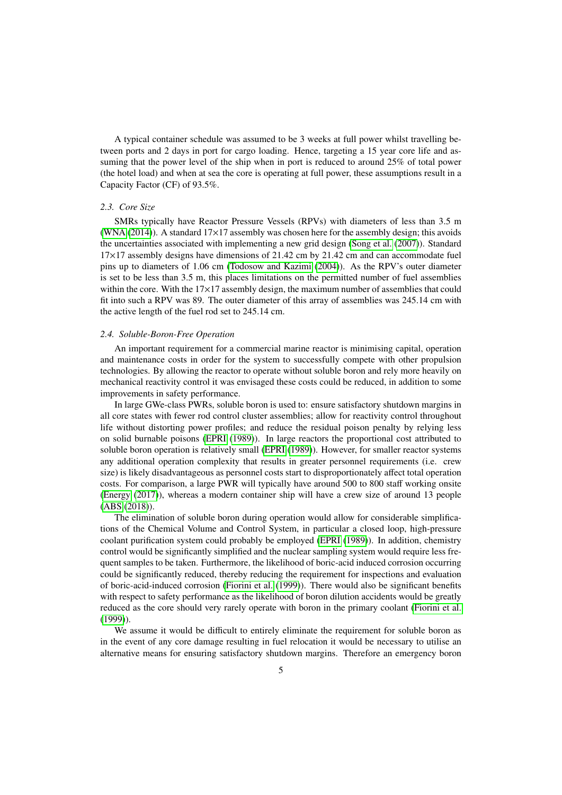A typical container schedule was assumed to be 3 weeks at full power whilst travelling between ports and 2 days in port for cargo loading. Hence, targeting a 15 year core life and assuming that the power level of the ship when in port is reduced to around 25% of total power (the hotel load) and when at sea the core is operating at full power, these assumptions result in a Capacity Factor (CF) of 93.5%.

### *2.3. Core Size*

SMRs typically have Reactor Pressure Vessels (RPVs) with diameters of less than 3.5 m [\(WNA](#page-20-12) [\(2014\)](#page-20-12)). A standard  $17\times17$  assembly was chosen here for the assembly design; this avoids the uncertainties associated with implementing a new grid design [\(Song et al.](#page-20-13) [\(2007\)](#page-20-13)). Standard  $17\times17$  assembly designs have dimensions of 21.42 cm by 21.42 cm and can accommodate fuel pins up to diameters of 1.06 cm [\(Todosow and Kazimi](#page-20-14) [\(2004\)](#page-20-14)). As the RPV's outer diameter is set to be less than 3.5 m, this places limitations on the permitted number of fuel assemblies within the core. With the  $17\times17$  assembly design, the maximum number of assemblies that could fit into such a RPV was 89. The outer diameter of this array of assemblies was 245.14 cm with the active length of the fuel rod set to 245.14 cm.

### <span id="page-4-0"></span>*2.4. Soluble-Boron-Free Operation*

An important requirement for a commercial marine reactor is minimising capital, operation and maintenance costs in order for the system to successfully compete with other propulsion technologies. By allowing the reactor to operate without soluble boron and rely more heavily on mechanical reactivity control it was envisaged these costs could be reduced, in addition to some improvements in safety performance.

In large GWe-class PWRs, soluble boron is used to: ensure satisfactory shutdown margins in all core states with fewer rod control cluster assemblies; allow for reactivity control throughout life without distorting power profiles; and reduce the residual poison penalty by relying less on solid burnable poisons [\(EPRI](#page-20-15) [\(1989\)](#page-20-15)). In large reactors the proportional cost attributed to soluble boron operation is relatively small [\(EPRI](#page-20-15) [\(1989\)](#page-20-15)). However, for smaller reactor systems any additional operation complexity that results in greater personnel requirements (i.e. crew size) is likely disadvantageous as personnel costs start to disproportionately affect total operation costs. For comparison, a large PWR will typically have around 500 to 800 staff working onsite [\(Energy](#page-20-16) [\(2017\)](#page-20-16)), whereas a modern container ship will have a crew size of around 13 people [\(ABS](#page-20-17) [\(2018\)](#page-20-17)).

The elimination of soluble boron during operation would allow for considerable simplifications of the Chemical Volume and Control System, in particular a closed loop, high-pressure coolant purification system could probably be employed [\(EPRI](#page-20-15) [\(1989\)](#page-20-15)). In addition, chemistry control would be significantly simplified and the nuclear sampling system would require less frequent samples to be taken. Furthermore, the likelihood of boric-acid induced corrosion occurring could be significantly reduced, thereby reducing the requirement for inspections and evaluation of boric-acid-induced corrosion [\(Fiorini et al.](#page-20-18) [\(1999\)](#page-20-18)). There would also be significant benefits with respect to safety performance as the likelihood of boron dilution accidents would be greatly reduced as the core should very rarely operate with boron in the primary coolant [\(Fiorini et al.](#page-20-18) [\(1999\)](#page-20-18)).

We assume it would be difficult to entirely eliminate the requirement for soluble boron as in the event of any core damage resulting in fuel relocation it would be necessary to utilise an alternative means for ensuring satisfactory shutdown margins. Therefore an emergency boron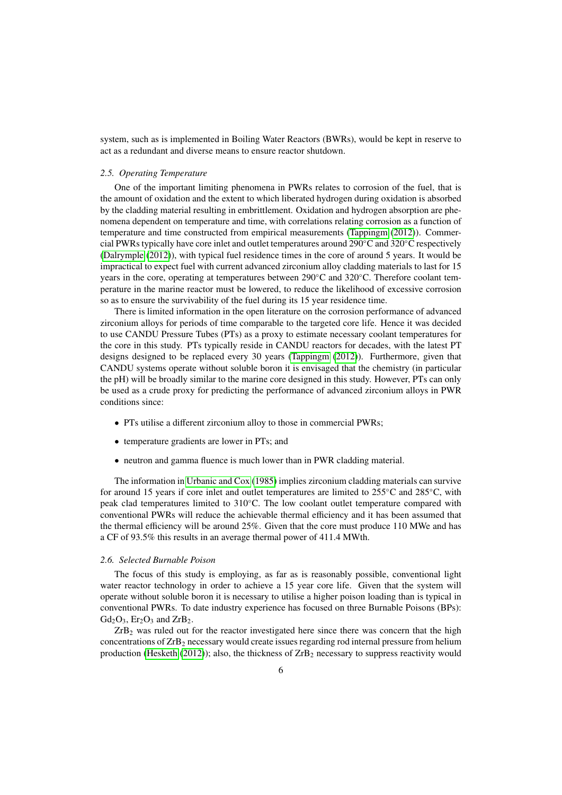system, such as is implemented in Boiling Water Reactors (BWRs), would be kept in reserve to act as a redundant and diverse means to ensure reactor shutdown.

## <span id="page-5-1"></span>*2.5. Operating Temperature*

One of the important limiting phenomena in PWRs relates to corrosion of the fuel, that is the amount of oxidation and the extent to which liberated hydrogen during oxidation is absorbed by the cladding material resulting in embrittlement. Oxidation and hydrogen absorption are phenomena dependent on temperature and time, with correlations relating corrosion as a function of temperature and time constructed from empirical measurements [\(Tappingm](#page-20-19) [\(2012\)](#page-20-19)). Commercial PWRs typically have core inlet and outlet temperatures around 290◦C and 320◦C respectively [\(Dalrymple](#page-20-20) [\(2012\)](#page-20-20)), with typical fuel residence times in the core of around 5 years. It would be impractical to expect fuel with current advanced zirconium alloy cladding materials to last for 15 years in the core, operating at temperatures between 290◦C and 320◦C. Therefore coolant temperature in the marine reactor must be lowered, to reduce the likelihood of excessive corrosion so as to ensure the survivability of the fuel during its 15 year residence time.

There is limited information in the open literature on the corrosion performance of advanced zirconium alloys for periods of time comparable to the targeted core life. Hence it was decided to use CANDU Pressure Tubes (PTs) as a proxy to estimate necessary coolant temperatures for the core in this study. PTs typically reside in CANDU reactors for decades, with the latest PT designs designed to be replaced every 30 years [\(Tappingm](#page-20-19) [\(2012\)](#page-20-19)). Furthermore, given that CANDU systems operate without soluble boron it is envisaged that the chemistry (in particular the pH) will be broadly similar to the marine core designed in this study. However, PTs can only be used as a crude proxy for predicting the performance of advanced zirconium alloys in PWR conditions since:

- PTs utilise a different zirconium alloy to those in commercial PWRs;
- temperature gradients are lower in PTs; and
- neutron and gamma fluence is much lower than in PWR cladding material.

The information in [Urbanic and Cox](#page-20-21) [\(1985\)](#page-20-21) implies zirconium cladding materials can survive for around 15 years if core inlet and outlet temperatures are limited to 255◦C and 285◦C, with peak clad temperatures limited to 310◦C. The low coolant outlet temperature compared with conventional PWRs will reduce the achievable thermal efficiency and it has been assumed that the thermal efficiency will be around 25%. Given that the core must produce 110 MWe and has a CF of 93.5% this results in an average thermal power of 411.4 MWth.

### <span id="page-5-0"></span>*2.6. Selected Burnable Poison*

The focus of this study is employing, as far as is reasonably possible, conventional light water reactor technology in order to achieve a 15 year core life. Given that the system will operate without soluble boron it is necessary to utilise a higher poison loading than is typical in conventional PWRs. To date industry experience has focused on three Burnable Poisons (BPs):  $Gd_2O_3$ ,  $Er_2O_3$  and  $ZrB_2$ .

ZrB<sup>2</sup> was ruled out for the reactor investigated here since there was concern that the high concentrations of ZrB<sup>2</sup> necessary would create issues regarding rod internal pressure from helium production [\(Hesketh](#page-20-22) [\(2012\)](#page-20-22)); also, the thickness of  $ZrB<sub>2</sub>$  necessary to suppress reactivity would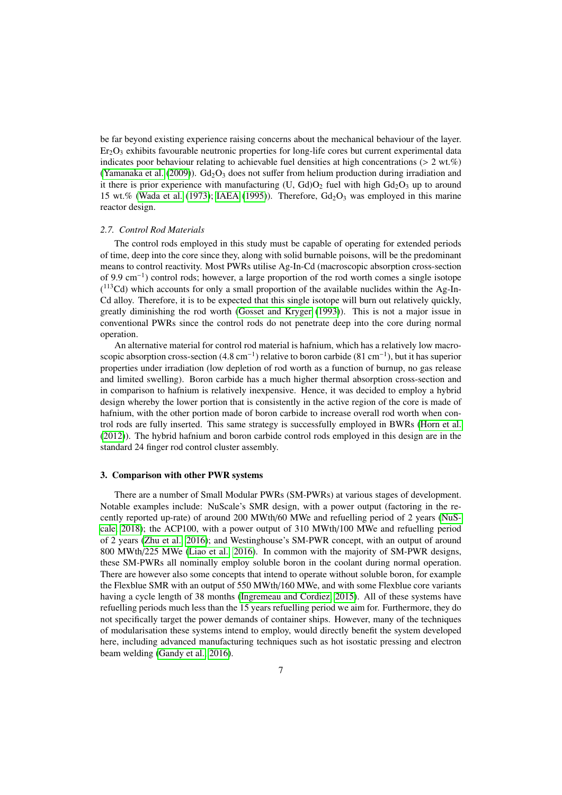be far beyond existing experience raising concerns about the mechanical behaviour of the layer.  $Er<sub>2</sub>O<sub>3</sub>$  exhibits favourable neutronic properties for long-life cores but current experimental data indicates poor behaviour relating to achievable fuel densities at high concentrations ( $> 2 \text{ wt. } \%$ )[\(Yamanaka et al.](#page-20-23) [\(2009\)](#page-20-23)).  $Gd_2O_3$  does not suffer from helium production during irradiation and it there is prior experience with manufacturing  $(U, Gd)O<sub>2</sub>$  fuel with high  $Gd<sub>2</sub>O<sub>3</sub>$  up to around 15 wt.% [\(Wada et al.](#page-20-24) [\(1973\)](#page-20-24); [IAEA](#page-20-25) [\(1995\)](#page-20-25)). Therefore,  $Gd_2O_3$  was employed in this marine reactor design.

#### *2.7. Control Rod Materials*

The control rods employed in this study must be capable of operating for extended periods of time, deep into the core since they, along with solid burnable poisons, will be the predominant means to control reactivity. Most PWRs utilise Ag-In-Cd (macroscopic absorption cross-section of 9.9 cm−<sup>1</sup> ) control rods; however, a large proportion of the rod worth comes a single isotope ( <sup>113</sup>Cd) which accounts for only a small proportion of the available nuclides within the Ag-In-Cd alloy. Therefore, it is to be expected that this single isotope will burn out relatively quickly, greatly diminishing the rod worth [\(Gosset and Kryger](#page-20-26) [\(1993\)](#page-20-26)). This is not a major issue in conventional PWRs since the control rods do not penetrate deep into the core during normal operation.

An alternative material for control rod material is hafnium, which has a relatively low macroscopic absorption cross-section  $(4.8 \text{ cm}^{-1})$  relative to boron carbide  $(81 \text{ cm}^{-1})$ , but it has superior properties under irradiation (low depletion of rod worth as a function of burnup, no gas release and limited swelling). Boron carbide has a much higher thermal absorption cross-section and in comparison to hafnium is relatively inexpensive. Hence, it was decided to employ a hybrid design whereby the lower portion that is consistently in the active region of the core is made of hafnium, with the other portion made of boron carbide to increase overall rod worth when control rods are fully inserted. This same strategy is successfully employed in BWRs [\(Horn et al.](#page-20-27) [\(2012\)](#page-20-27)). The hybrid hafnium and boron carbide control rods employed in this design are in the standard 24 finger rod control cluster assembly.

### 3. Comparison with other PWR systems

There are a number of Small Modular PWRs (SM-PWRs) at various stages of development. Notable examples include: NuScale's SMR design, with a power output (factoring in the recently reported up-rate) of around 200 MWth/60 MWe and refuelling period of 2 years [\(NuS](#page-20-28)[cale, 2018\)](#page-20-28); the ACP100, with a power output of 310 MWth/100 MWe and refuelling period of 2 years [\(Zhu et al., 2016\)](#page-20-29); and Westinghouse's SM-PWR concept, with an output of around 800 MWth/225 MWe [\(Liao et al., 2016\)](#page-20-30). In common with the majority of SM-PWR designs, these SM-PWRs all nominally employ soluble boron in the coolant during normal operation. There are however also some concepts that intend to operate without soluble boron, for example the Flexblue SMR with an output of 550 MWth/160 MWe, and with some Flexblue core variants having a cycle length of 38 months [\(Ingremeau and Cordiez, 2015\)](#page-21-0). All of these systems have refuelling periods much less than the 15 years refuelling period we aim for. Furthermore, they do not specifically target the power demands of container ships. However, many of the techniques of modularisation these systems intend to employ, would directly benefit the system developed here, including advanced manufacturing techniques such as hot isostatic pressing and electron beam welding [\(Gandy et al., 2016\)](#page-21-1).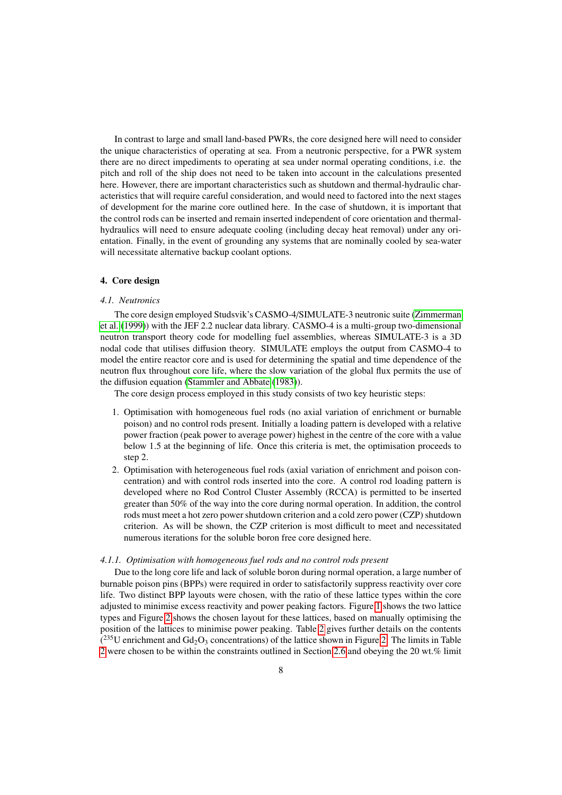In contrast to large and small land-based PWRs, the core designed here will need to consider the unique characteristics of operating at sea. From a neutronic perspective, for a PWR system there are no direct impediments to operating at sea under normal operating conditions, i.e. the pitch and roll of the ship does not need to be taken into account in the calculations presented here. However, there are important characteristics such as shutdown and thermal-hydraulic characteristics that will require careful consideration, and would need to factored into the next stages of development for the marine core outlined here. In the case of shutdown, it is important that the control rods can be inserted and remain inserted independent of core orientation and thermalhydraulics will need to ensure adequate cooling (including decay heat removal) under any orientation. Finally, in the event of grounding any systems that are nominally cooled by sea-water will necessitate alternative backup coolant options.

# 4. Core design

#### *4.1. Neutronics*

The core design employed Studsvik's CASMO-4/SIMULATE-3 neutronic suite [\(Zimmerman](#page-21-2) [et al.](#page-21-2) [\(1999\)](#page-21-2)) with the JEF 2.2 nuclear data library. CASMO-4 is a multi-group two-dimensional neutron transport theory code for modelling fuel assemblies, whereas SIMULATE-3 is a 3D nodal code that utilises diffusion theory. SIMULATE employs the output from CASMO-4 to model the entire reactor core and is used for determining the spatial and time dependence of the neutron flux throughout core life, where the slow variation of the global flux permits the use of the diffusion equation [\(Stammler and Abbate](#page-21-3) [\(1983\)](#page-21-3)).

The core design process employed in this study consists of two key heuristic steps:

- 1. Optimisation with homogeneous fuel rods (no axial variation of enrichment or burnable poison) and no control rods present. Initially a loading pattern is developed with a relative power fraction (peak power to average power) highest in the centre of the core with a value below 1.5 at the beginning of life. Once this criteria is met, the optimisation proceeds to step 2.
- 2. Optimisation with heterogeneous fuel rods (axial variation of enrichment and poison concentration) and with control rods inserted into the core. A control rod loading pattern is developed where no Rod Control Cluster Assembly (RCCA) is permitted to be inserted greater than 50% of the way into the core during normal operation. In addition, the control rods must meet a hot zero power shutdown criterion and a cold zero power (CZP) shutdown criterion. As will be shown, the CZP criterion is most difficult to meet and necessitated numerous iterations for the soluble boron free core designed here.

### *4.1.1. Optimisation with homogeneous fuel rods and no control rods present*

Due to the long core life and lack of soluble boron during normal operation, a large number of burnable poison pins (BPPs) were required in order to satisfactorily suppress reactivity over core life. Two distinct BPP layouts were chosen, with the ratio of these lattice types within the core adjusted to minimise excess reactivity and power peaking factors. Figure [1](#page-8-0) shows the two lattice types and Figure [2](#page-8-1) shows the chosen layout for these lattices, based on manually optimising the position of the lattices to minimise power peaking. Table [2](#page-9-0) gives further details on the contents  $(^{235}$ U enrichment and Gd<sub>2</sub>O<sub>3</sub> concentrations) of the lattice shown in Figure [2.](#page-8-1) The limits in Table [2](#page-9-0) were chosen to be within the constraints outlined in Section [2.6](#page-5-0) and obeying the 20 wt.% limit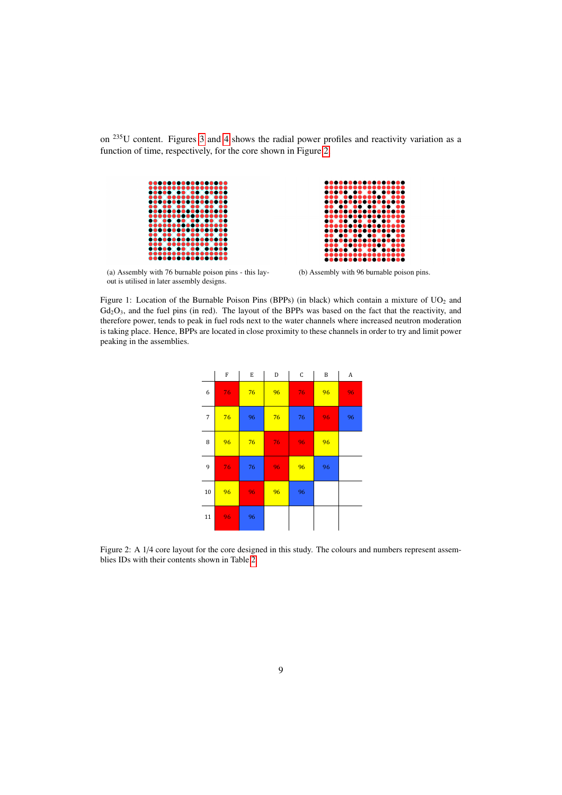<span id="page-8-0"></span>on <sup>235</sup>U content. Figures [3](#page-9-1) and [4](#page-9-2) shows the radial power profiles and reactivity variation as a function of time, respectively, for the core shown in Figure [2.](#page-8-1)



(a) Assembly with 76 burnable poison pins - this layout is utilised in later assembly designs.



ē ıō

ō

<span id="page-8-1"></span>Figure 1: Location of the Burnable Poison Pins (BPPs) (in black) which contain a mixture of UO<sub>2</sub> and  $Gd<sub>2</sub>O<sub>3</sub>$ , and the fuel pins (in red). The layout of the BPPs was based on the fact that the reactivity, and therefore power, tends to peak in fuel rods next to the water channels where increased neutron moderation is taking place. Hence, BPPs are located in close proximity to these channels in order to try and limit power peaking in the assemblies.

|                          | F               | E  | D  | $\mathsf C$ | B  | $\boldsymbol{A}$ |
|--------------------------|-----------------|----|----|-------------|----|------------------|
| 6                        | 76              | 76 | 96 | 76          | 96 | 96               |
| $\overline{\phantom{a}}$ | 76              | 96 | 76 | 76          | 96 | 96               |
| 8                        | 96              | 76 | 76 | 96          | 96 |                  |
| 9                        | $\overline{76}$ | 76 | 96 | 96          | 96 |                  |
| 10                       | 96              | 96 | 96 | 96          |    |                  |
| 11                       | 96              | 96 |    |             |    |                  |

Figure 2: A  $1/4$  core layout for the core designed in this study. The colours and numbers represent assemblies IDs with their contents shown in Table [2.](#page-9-0)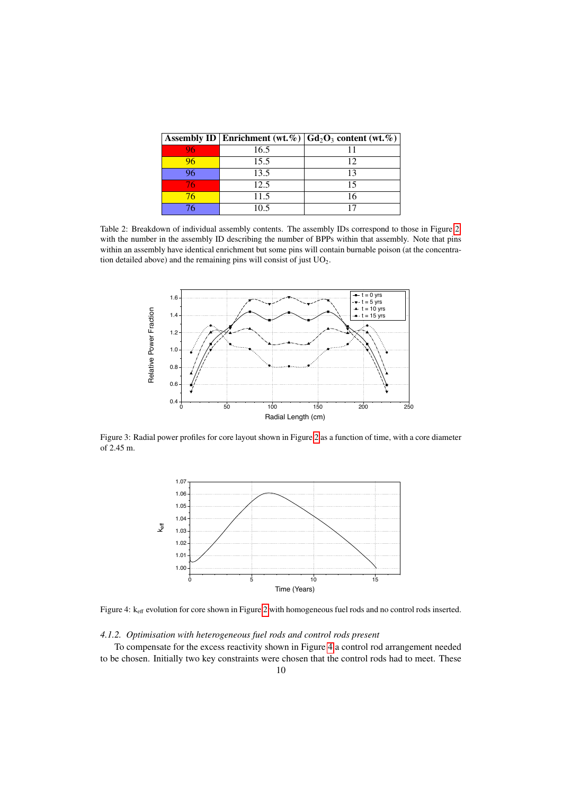<span id="page-9-0"></span>

|    |      | Assembly ID   Enrichment (wt. %)   $Gd_2O_3$ content (wt. %) |
|----|------|--------------------------------------------------------------|
|    | 16.5 |                                                              |
| 96 | 15.5 | 12                                                           |
| )6 | 13.5 | 13                                                           |
| 76 | 12.5 | 15                                                           |
| 76 | 11.5 | 16                                                           |
|    | 10.5 |                                                              |

Table 2: Breakdown of individual assembly contents. The assembly IDs correspond to those in Figure [2,](#page-8-1) with the number in the assembly ID describing the number of BPPs within that assembly. Note that pins within an assembly have identical enrichment but some pins will contain burnable poison (at the concentration detailed above) and the remaining pins will consist of just  $UO<sub>2</sub>$ .

<span id="page-9-1"></span>

<span id="page-9-2"></span>Figure 3: Radial power profiles for core layout shown in Figure [2](#page-8-1) as a function of time, with a core diameter of 2.45 m.



Figure 4: k<sub>eff</sub> evolution for core shown in Figure [2](#page-8-1) with homogeneous fuel rods and no control rods inserted.

# *4.1.2. Optimisation with heterogeneous fuel rods and control rods present*

To compensate for the excess reactivity shown in Figure [4](#page-9-2) a control rod arrangement needed to be chosen. Initially two key constraints were chosen that the control rods had to meet. These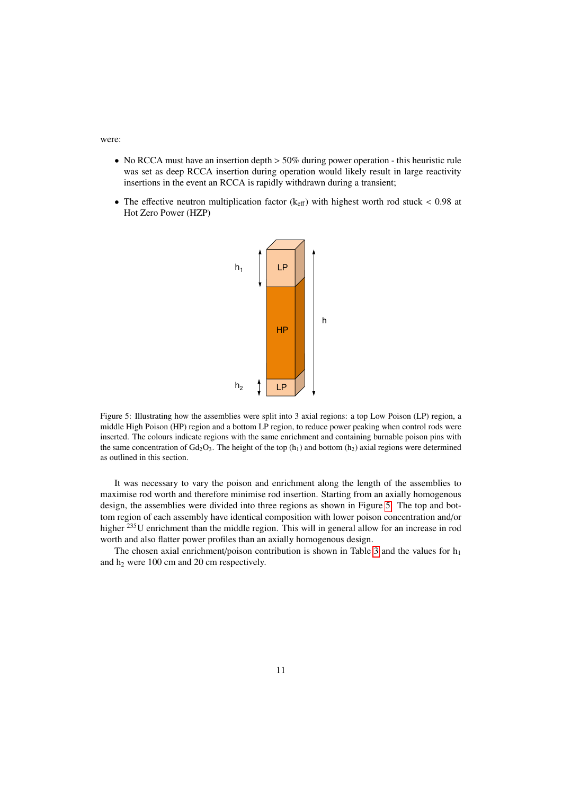were:

- No RCCA must have an insertion depth  $> 50\%$  during power operation this heuristic rule was set as deep RCCA insertion during operation would likely result in large reactivity insertions in the event an RCCA is rapidly withdrawn during a transient;
- <span id="page-10-0"></span>• The effective neutron multiplication factor ( $k_{\text{eff}}$ ) with highest worth rod stuck < 0.98 at Hot Zero Power (HZP)



Figure 5: Illustrating how the assemblies were split into 3 axial regions: a top Low Poison (LP) region, a middle High Poison (HP) region and a bottom LP region, to reduce power peaking when control rods were inserted. The colours indicate regions with the same enrichment and containing burnable poison pins with the same concentration of  $Gd_2O_3$ . The height of the top  $(h_1)$  and bottom  $(h_2)$  axial regions were determined as outlined in this section.

It was necessary to vary the poison and enrichment along the length of the assemblies to maximise rod worth and therefore minimise rod insertion. Starting from an axially homogenous design, the assemblies were divided into three regions as shown in Figure [5.](#page-10-0) The top and bottom region of each assembly have identical composition with lower poison concentration and/or higher <sup>235</sup>U enrichment than the middle region. This will in general allow for an increase in rod worth and also flatter power profiles than an axially homogenous design.

The chosen axial enrichment/poison contribution is shown in Table [3](#page-11-0) and the values for  $h_1$ and  $h_2$  were 100 cm and 20 cm respectively.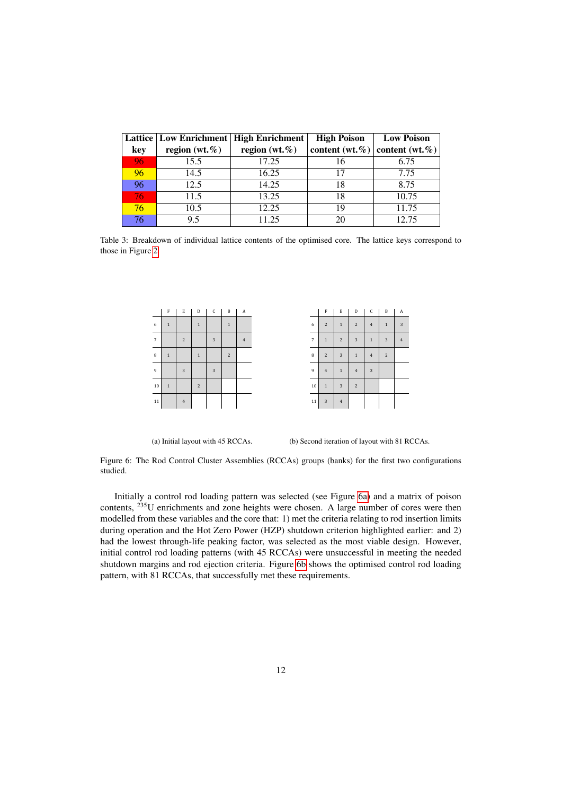<span id="page-11-0"></span>

|      |                   | Lattice   Low Enrichment   High Enrichment | <b>High Poison</b>                      | <b>Low Poison</b> |
|------|-------------------|--------------------------------------------|-----------------------------------------|-------------------|
| key  | region $(wt, \%)$ | region $(wt, \%)$                          | content (wt. $\%$ ) content (wt. $\%$ ) |                   |
| 96   | 15.5              | 17.25                                      |                                         | 6.75              |
| 96   | 14.5              | 16.25                                      |                                         | 7.75              |
| 96   | 12.5              | 14.25                                      | 18                                      | 8.75              |
| '767 | 11.5              | 13.25                                      | 18                                      | 10.75             |
| 76   | 10.5              | 12.25                                      | 19                                      | 11.75             |
| 76   | 9.5               | 11.25                                      |                                         | 12.75             |

<span id="page-11-1"></span>Table 3: Breakdown of individual lattice contents of the optimised core. The lattice keys correspond to those in Figure [2.](#page-8-1)

|                | F           | $\mathbf E$    | D              | $\mathsf C$    | $\, {\bf B}$ | $\,$ A         |
|----------------|-------------|----------------|----------------|----------------|--------------|----------------|
| 6              | $\mathbf 1$ |                | $\overline{1}$ |                | $\mathbf 1$  |                |
| $\overline{7}$ |             | $\overline{c}$ |                | $\overline{3}$ |              | $\overline{4}$ |
| 8              | $\mathbf 1$ |                | $\mathbf 1$    |                | $\sqrt{2}$   |                |
| $\overline{9}$ |             | $\overline{3}$ |                | 3              |              |                |
| 10             | $\mathbf 1$ |                | $\overline{c}$ |                |              |                |
| 11             |             | $\overline{4}$ |                |                |              |                |

|    | F              | $\mathbf E$    | $\mathbf D$    | $\mathsf C$             | $\, {\bf B}$   | A              |
|----|----------------|----------------|----------------|-------------------------|----------------|----------------|
| 6  | $\overline{c}$ | $\overline{1}$ | $\overline{c}$ | $\overline{4}$          | $\,1\,$        | 3              |
| 7  | $\mathbf 1$    | $\overline{c}$ | $\overline{3}$ | $\mathbf 1$             | $\overline{3}$ | $\overline{4}$ |
| 8  | $\overline{c}$ | 3              | $\overline{1}$ | $\overline{4}$          | $\overline{c}$ |                |
| 9  | $\overline{4}$ | $\overline{1}$ | $\overline{4}$ | $\overline{\mathbf{3}}$ |                |                |
| 10 | $\mathbf 1$    | 3              | $\overline{c}$ |                         |                |                |
| 11 | $\overline{3}$ | $\overline{4}$ |                |                         |                |                |

(a) Initial layout with 45 RCCAs.

<span id="page-11-2"></span>(b) Second iteration of layout with 81 RCCAs.

Figure 6: The Rod Control Cluster Assemblies (RCCAs) groups (banks) for the first two configurations studied.

Initially a control rod loading pattern was selected (see Figure [6a\)](#page-11-1) and a matrix of poison contents, <sup>235</sup>U enrichments and zone heights were chosen. A large number of cores were then modelled from these variables and the core that: 1) met the criteria relating to rod insertion limits during operation and the Hot Zero Power (HZP) shutdown criterion highlighted earlier: and 2) had the lowest through-life peaking factor, was selected as the most viable design. However, initial control rod loading patterns (with 45 RCCAs) were unsuccessful in meeting the needed shutdown margins and rod ejection criteria. Figure [6b](#page-11-2) shows the optimised control rod loading pattern, with 81 RCCAs, that successfully met these requirements.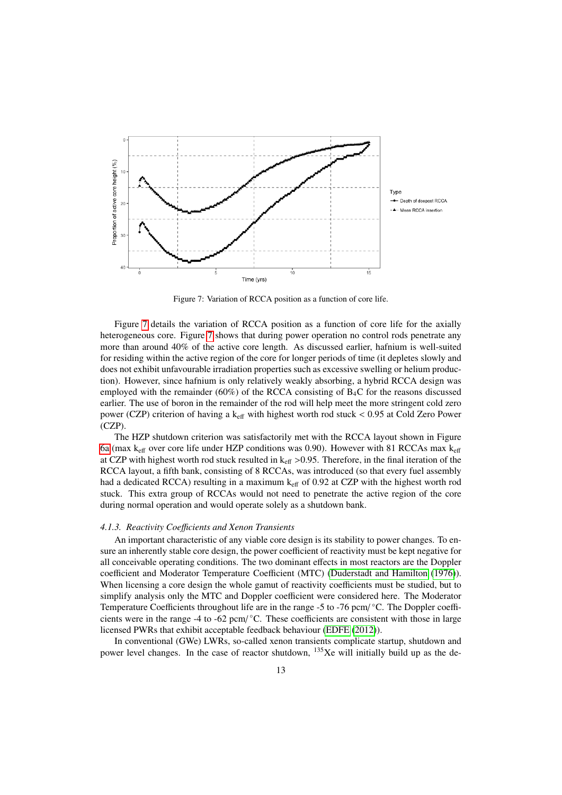<span id="page-12-0"></span>

Figure 7: Variation of RCCA position as a function of core life.

Figure [7](#page-12-0) details the variation of RCCA position as a function of core life for the axially heterogeneous core. Figure [7](#page-12-0) shows that during power operation no control rods penetrate any more than around 40% of the active core length. As discussed earlier, hafnium is well-suited for residing within the active region of the core for longer periods of time (it depletes slowly and does not exhibit unfavourable irradiation properties such as excessive swelling or helium production). However, since hafnium is only relatively weakly absorbing, a hybrid RCCA design was employed with the remainder (60%) of the RCCA consisting of  $B_4C$  for the reasons discussed earlier. The use of boron in the remainder of the rod will help meet the more stringent cold zero power (CZP) criterion of having a k<sub>eff</sub> with highest worth rod stuck < 0.95 at Cold Zero Power (CZP).

The HZP shutdown criterion was satisfactorily met with the RCCA layout shown in Figure [6a](#page-11-1) (max  $k_{\text{eff}}$  over core life under HZP conditions was 0.90). However with 81 RCCAs max  $k_{\text{eff}}$ at CZP with highest worth rod stuck resulted in  $k_{\text{eff}} > 0.95$ . Therefore, in the final iteration of the RCCA layout, a fifth bank, consisting of 8 RCCAs, was introduced (so that every fuel assembly had a dedicated RCCA) resulting in a maximum k<sub>eff</sub> of 0.92 at CZP with the highest worth rod stuck. This extra group of RCCAs would not need to penetrate the active region of the core during normal operation and would operate solely as a shutdown bank.

### *4.1.3. Reactivity Coe*ffi*cients and Xenon Transients*

An important characteristic of any viable core design is its stability to power changes. To ensure an inherently stable core design, the power coefficient of reactivity must be kept negative for all conceivable operating conditions. The two dominant effects in most reactors are the Doppler coefficient and Moderator Temperature Coefficient (MTC) [\(Duderstadt and Hamilton](#page-21-4) [\(1976\)](#page-21-4)). When licensing a core design the whole gamut of reactivity coefficients must be studied, but to simplify analysis only the MTC and Doppler coefficient were considered here. The Moderator Temperature Coefficients throughout life are in the range -5 to -76 pcm/°C. The Doppler coefficients were in the range -4 to -62 pcm/°C. These coefficients are consistent with those in large licensed PWRs that exhibit acceptable feedback behaviour [\(EDFE](#page-21-5) [\(2012\)](#page-21-5)).

In conventional (GWe) LWRs, so-called xenon transients complicate startup, shutdown and power level changes. In the case of reactor shutdown, <sup>135</sup>Xe will initially build up as the de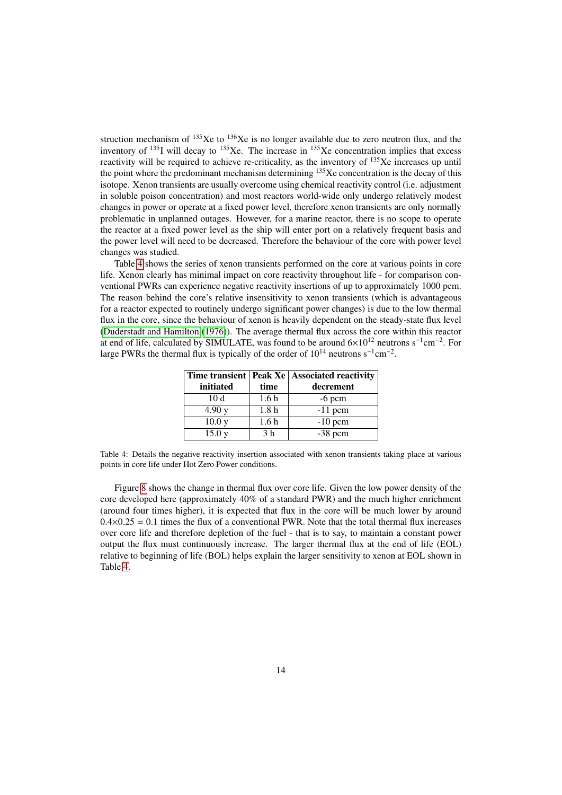struction mechanism of  $^{135}$ Xe to  $^{136}$ Xe is no longer available due to zero neutron flux, and the inventory of  $^{135}$ I will decay to  $^{135}$ Xe. The increase in  $^{135}$ Xe concentration implies that excess reactivity will be required to achieve re-criticality, as the inventory of  $^{135}$ Xe increases up until the point where the predominant mechanism determining  $135$ Xe concentration is the decay of this isotope. Xenon transients are usually overcome using chemical reactivity control (i.e. adjustment in soluble poison concentration) and most reactors world-wide only undergo relatively modest changes in power or operate at a fixed power level, therefore xenon transients are only normally problematic in unplanned outages. However, for a marine reactor, there is no scope to operate the reactor at a fixed power level as the ship will enter port on a relatively frequent basis and the power level will need to be decreased. Therefore the behaviour of the core with power level changes was studied.

Table [4](#page-13-0) shows the series of xenon transients performed on the core at various points in core life. Xenon clearly has minimal impact on core reactivity throughout life - for comparison conventional PWRs can experience negative reactivity insertions of up to approximately 1000 pcm. The reason behind the core's relative insensitivity to xenon transients (which is advantageous for a reactor expected to routinely undergo significant power changes) is due to the low thermal flux in the core, since the behaviour of xenon is heavily dependent on the steady-state flux level [\(Duderstadt and Hamilton](#page-21-4) [\(1976\)](#page-21-4)). The average thermal flux across the core within this reactor at end of life, calculated by SIMULATE, was found to be around  $6\times10^{12}$  neutrons s<sup>-1</sup>cm<sup>-2</sup>. For large PWRs the thermal flux is typically of the order of  $10^{14}$  neutrons s<sup>-1</sup>cm<sup>-2</sup>.

<span id="page-13-0"></span>

|                   |                  | Time transient   Peak Xe   Associated reactivity |
|-------------------|------------------|--------------------------------------------------|
| initiated         | time             | decrement                                        |
| 10 <sub>d</sub>   | 1.6 <sub>h</sub> | $-6$ pcm                                         |
| 4.90y             | 1.8 <sub>h</sub> | $-11$ pcm                                        |
| 10.0 <sub>y</sub> | 1.6 <sub>h</sub> | $-10$ pcm                                        |
| 15.0y             | 3 <sub>h</sub>   | $-38$ pcm                                        |

Table 4: Details the negative reactivity insertion associated with xenon transients taking place at various points in core life under Hot Zero Power conditions.

Figure [8](#page-14-0) shows the change in thermal flux over core life. Given the low power density of the core developed here (approximately 40% of a standard PWR) and the much higher enrichment (around four times higher), it is expected that flux in the core will be much lower by around  $0.4\times0.25 = 0.1$  times the flux of a conventional PWR. Note that the total thermal flux increases over core life and therefore depletion of the fuel - that is to say, to maintain a constant power output the flux must continuously increase. The larger thermal flux at the end of life (EOL) relative to beginning of life (BOL) helps explain the larger sensitivity to xenon at EOL shown in Table [4.](#page-13-0)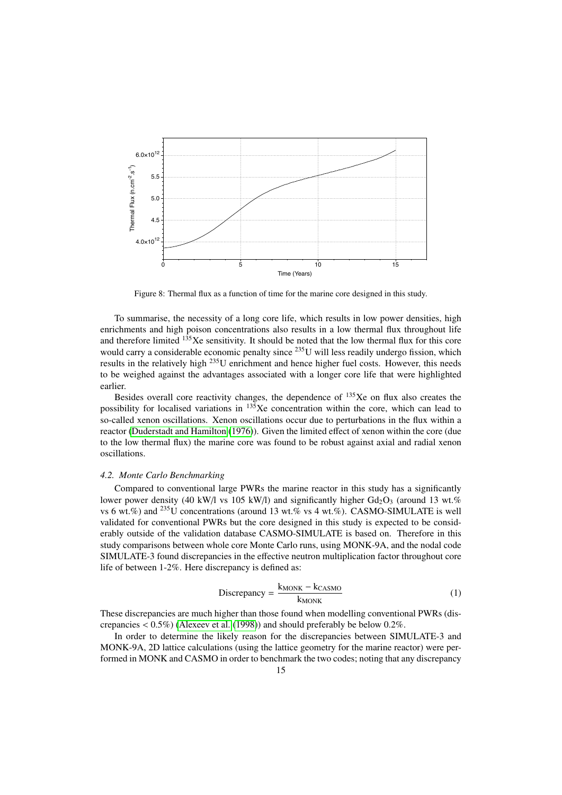<span id="page-14-0"></span>

Figure 8: Thermal flux as a function of time for the marine core designed in this study.

To summarise, the necessity of a long core life, which results in low power densities, high enrichments and high poison concentrations also results in a low thermal flux throughout life and therefore limited  $135$ Xe sensitivity. It should be noted that the low thermal flux for this core would carry a considerable economic penalty since <sup>235</sup>U will less readily undergo fission, which results in the relatively high <sup>235</sup>U enrichment and hence higher fuel costs. However, this needs to be weighed against the advantages associated with a longer core life that were highlighted earlier.

Besides overall core reactivity changes, the dependence of  $135Xe$  on flux also creates the possibility for localised variations in  $135$ Xe concentration within the core, which can lead to so-called xenon oscillations. Xenon oscillations occur due to perturbations in the flux within a reactor [\(Duderstadt and Hamilton](#page-21-4) [\(1976\)](#page-21-4)). Given the limited effect of xenon within the core (due to the low thermal flux) the marine core was found to be robust against axial and radial xenon oscillations.

### *4.2. Monte Carlo Benchmarking*

Compared to conventional large PWRs the marine reactor in this study has a significantly lower power density (40 kW/l vs 105 kW/l) and significantly higher  $Gd_2O_3$  (around 13 wt.%) vs 6 wt.%) and  $^{235}$ U concentrations (around 13 wt.% vs 4 wt.%). CASMO-SIMULATE is well validated for conventional PWRs but the core designed in this study is expected to be considerably outside of the validation database CASMO-SIMULATE is based on. Therefore in this study comparisons between whole core Monte Carlo runs, using MONK-9A, and the nodal code SIMULATE-3 found discrepancies in the effective neutron multiplication factor throughout core life of between 1-2%. Here discrepancy is defined as:

$$
Discrepancy = \frac{k_{MONK} - k_{CASMO}}{k_{MONK}}
$$
 (1)

These discrepancies are much higher than those found when modelling conventional PWRs (discrepancies < 0.5%) [\(Alexeev et al.](#page-21-6) [\(1998\)](#page-21-6)) and should preferably be below 0.2%.

In order to determine the likely reason for the discrepancies between SIMULATE-3 and MONK-9A, 2D lattice calculations (using the lattice geometry for the marine reactor) were performed in MONK and CASMO in order to benchmark the two codes; noting that any discrepancy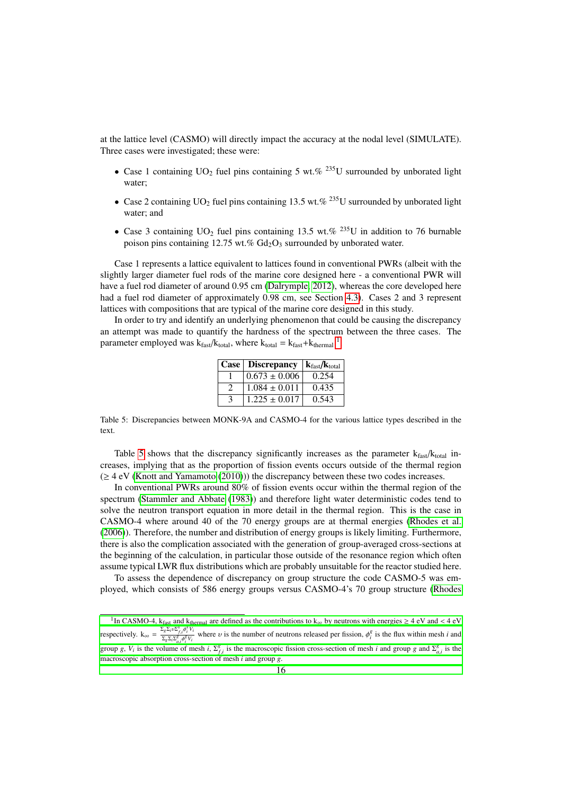at the lattice level (CASMO) will directly impact the accuracy at the nodal level (SIMULATE). Three cases were investigated; these were:

- Case 1 containing UO<sub>2</sub> fuel pins containing 5 wt.% <sup>235</sup>U surrounded by unborated light water;
- Case 2 containing UO<sub>2</sub> fuel pins containing 13.5 wt.% <sup>235</sup>U surrounded by unborated light water; and
- Case 3 containing  $UO<sub>2</sub>$  fuel pins containing 13.5 wt.% <sup>235</sup>U in addition to 76 burnable poison pins containing 12.75 wt.%  $Gd_2O_3$  surrounded by unborated water.

Case 1 represents a lattice equivalent to lattices found in conventional PWRs (albeit with the slightly larger diameter fuel rods of the marine core designed here - a conventional PWR will have a fuel rod diameter of around 0.95 cm [\(Dalrymple, 2012\)](#page-20-20), whereas the core developed here had a fuel rod diameter of approximately 0.98 cm, see Section [4.3\)](#page-16-0). Cases 2 and 3 represent lattices with compositions that are typical of the marine core designed in this study.

<span id="page-15-1"></span>In order to try and identify an underlying phenomenon that could be causing the discrepancy an attempt was made to quantify the hardness of the spectrum between the three cases. The parameter employed was  $k_{\text{fast}}/k_{\text{total}}$ , where  $k_{\text{total}} = k_{\text{fast}} + k_{\text{thermal}}^{-1}$  $k_{\text{total}} = k_{\text{fast}} + k_{\text{thermal}}^{-1}$  $k_{\text{total}} = k_{\text{fast}} + k_{\text{thermal}}^{-1}$ .

| Case   Discrepancy | $k_{\text{fast}}/k_{\text{total}}$ |
|--------------------|------------------------------------|
| $0.673 \pm 0.006$  | 0.254                              |
| $1.084 \pm 0.011$  | 0.435                              |
| $1.225 \pm 0.017$  | 0.543                              |

Table 5: Discrepancies between MONK-9A and CASMO-4 for the various lattice types described in the text.

Table [5](#page-15-1) shows that the discrepancy significantly increases as the parameter  $k_{fast}/k_{total}$  increases, implying that as the proportion of fission events occurs outside of the thermal region  $(\geq 4 \text{ eV}$  [\(Knott and Yamamoto](#page-21-7) [\(2010\)](#page-21-7))) the discrepancy between these two codes increases.

In conventional PWRs around 80% of fission events occur within the thermal region of the spectrum [\(Stammler and Abbate](#page-21-3) [\(1983\)](#page-21-3)) and therefore light water deterministic codes tend to solve the neutron transport equation in more detail in the thermal region. This is the case in CASMO-4 where around 40 of the 70 energy groups are at thermal energies [\(Rhodes et al.](#page-21-8) [\(2006\)](#page-21-8)). Therefore, the number and distribution of energy groups is likely limiting. Furthermore, there is also the complication associated with the generation of group-averaged cross-sections at the beginning of the calculation, in particular those outside of the resonance region which often assume typical LWR flux distributions which are probably unsuitable for the reactor studied here.

To assess the dependence of discrepancy on group structure the code CASMO-5 was employed, which consists of 586 energy groups versus CASMO-4's 70 group structure [\(Rhodes](#page-21-8)

<span id="page-15-0"></span><sup>&</sup>lt;sup>1</sup>In CASMO-4, k<sub>fast</sub> and k<sub>thermal</sub> [are defined as the contributions to k](#page-21-8)<sub>∞</sub> by neutrons with energies  $\geq 4$  eV and < 4 eV  $\sum_{k} \sum_{n} n \sum_{k} \delta_{k}^{k} V_{k}$ respectively.  $k_{\infty} = \frac{\sum_{g} \sum_{i} v \sum_{f,i}^{g} \phi_{i}^{g} V_{i}}{\sum_{g} \sum_{i} \sum_{g}^{g} \phi_{i}^{g} V_{i}}$  $\frac{\sum_{g} \sum_{i} \sum_{i}^{g_i} \varphi_i^g V_i}{\sum_{g} \sum_{i} \varphi_i^g V_i}$  where *v* [is the number of neutrons released per fission,](#page-21-8)  $\phi_i^g$  is the flux within mesh *i* and group *g*, *V<sub>i</sub>* is the volume of mesh *i*,  $\Sigma_{f,i}^{g}$  [is the macroscopic fission cross-section of mesh](#page-21-8) *i* and group *g* and  $\Sigma_{a,i}^{g}$  is the macroscopic absorption cross section of mesh *i* and group *g* and  $\Sigma_{a,i}$  $f_{f,i}$  *f*,  $f_i$  *f*,  $f_i$  *f* and volume of mesh *i*,  $f_{f,i}$  *f* and group *g*.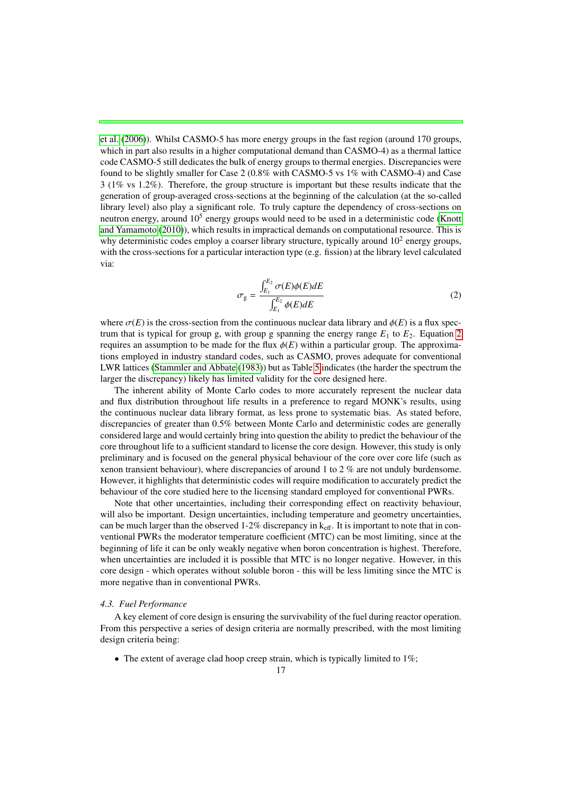[et al.](#page-21-8) [\(2006\)](#page-21-8)). Whilst CASMO-5 has more energy groups in the fast region (around 170 groups, which in part also results in a higher computational demand than CASMO-4) as a thermal lattice code CASMO-5 still dedicates the bulk of energy groups to thermal energies. Discrepancies were found to be slightly smaller for Case 2 (0.8% with CASMO-5 vs 1% with CASMO-4) and Case 3 (1% vs 1.2%). Therefore, the group structure is important but these results indicate that the generation of group-averaged cross-sections at the beginning of the calculation (at the so-called library level) also play a significant role. To truly capture the dependency of cross-sections on neutron energy, around 10<sup>5</sup> energy groups would need to be used in a deterministic code [\(Knott](#page-21-7) [and Yamamoto](#page-21-7) [\(2010\)](#page-21-7)), which results in impractical demands on computational resource. This is why deterministic codes employ a coarser library structure, typically around  $10<sup>2</sup>$  energy groups, with the cross-sections for a particular interaction type (e.g. fission) at the library level calculated via:

<span id="page-16-1"></span>
$$
\sigma_{g} = \frac{\int_{E_1}^{E_2} \sigma(E)\phi(E)dE}{\int_{E_1}^{E_2} \phi(E)dE}
$$
\n(2)

where  $\sigma(E)$  is the cross-section from the continuous nuclear data library and  $\phi(E)$  is a flux spectrum that is typical for group g, with group g spanning the energy range  $E_1$  to  $E_2$ . Equation [2](#page-16-1) requires an assumption to be made for the flux  $\phi(E)$  within a particular group. The approximations employed in industry standard codes, such as CASMO, proves adequate for conventional LWR lattices [\(Stammler and Abbate](#page-21-3) [\(1983\)](#page-21-3)) but as Table [5](#page-15-1) indicates (the harder the spectrum the larger the discrepancy) likely has limited validity for the core designed here.

The inherent ability of Monte Carlo codes to more accurately represent the nuclear data and flux distribution throughout life results in a preference to regard MONK's results, using the continuous nuclear data library format, as less prone to systematic bias. As stated before, discrepancies of greater than 0.5% between Monte Carlo and deterministic codes are generally considered large and would certainly bring into question the ability to predict the behaviour of the core throughout life to a sufficient standard to license the core design. However, this study is only preliminary and is focused on the general physical behaviour of the core over core life (such as xenon transient behaviour), where discrepancies of around 1 to 2 % are not unduly burdensome. However, it highlights that deterministic codes will require modification to accurately predict the behaviour of the core studied here to the licensing standard employed for conventional PWRs.

Note that other uncertainties, including their corresponding effect on reactivity behaviour, will also be important. Design uncertainties, including temperature and geometry uncertainties, can be much larger than the observed 1-2% discrepancy in  $k_{\text{eff}}$ . It is important to note that in conventional PWRs the moderator temperature coefficient (MTC) can be most limiting, since at the beginning of life it can be only weakly negative when boron concentration is highest. Therefore, when uncertainties are included it is possible that MTC is no longer negative. However, in this core design - which operates without soluble boron - this will be less limiting since the MTC is more negative than in conventional PWRs.

### <span id="page-16-0"></span>*4.3. Fuel Performance*

A key element of core design is ensuring the survivability of the fuel during reactor operation. From this perspective a series of design criteria are normally prescribed, with the most limiting design criteria being:

• The extent of average clad hoop creep strain, which is typically limited to  $1\%$ ;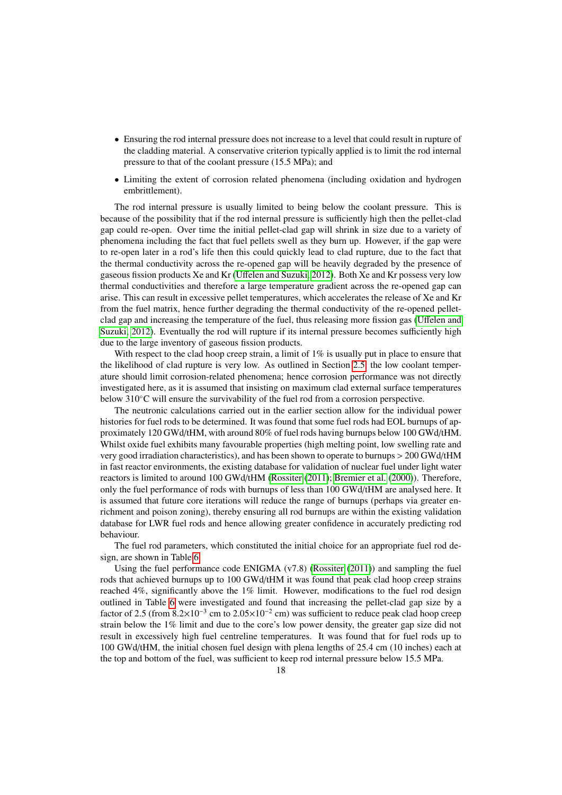- Ensuring the rod internal pressure does not increase to a level that could result in rupture of the cladding material. A conservative criterion typically applied is to limit the rod internal pressure to that of the coolant pressure (15.5 MPa); and
- Limiting the extent of corrosion related phenomena (including oxidation and hydrogen embrittlement).

The rod internal pressure is usually limited to being below the coolant pressure. This is because of the possibility that if the rod internal pressure is sufficiently high then the pellet-clad gap could re-open. Over time the initial pellet-clad gap will shrink in size due to a variety of phenomena including the fact that fuel pellets swell as they burn up. However, if the gap were to re-open later in a rod's life then this could quickly lead to clad rupture, due to the fact that the thermal conductivity across the re-opened gap will be heavily degraded by the presence of gaseous fission products Xe and Kr (Uff[elen and Suzuki, 2012\)](#page-19-7). Both Xe and Kr possess very low thermal conductivities and therefore a large temperature gradient across the re-opened gap can arise. This can result in excessive pellet temperatures, which accelerates the release of Xe and Kr from the fuel matrix, hence further degrading the thermal conductivity of the re-opened pelletclad gap and increasing the temperature of the fuel, thus releasing more fission gas (Uff[elen and](#page-19-7) [Suzuki, 2012\)](#page-19-7). Eventually the rod will rupture if its internal pressure becomes sufficiently high due to the large inventory of gaseous fission products.

With respect to the clad hoop creep strain, a limit of 1% is usually put in place to ensure that the likelihood of clad rupture is very low. As outlined in Section [2.5,](#page-5-1) the low coolant temperature should limit corrosion-related phenomena; hence corrosion performance was not directly investigated here, as it is assumed that insisting on maximum clad external surface temperatures below 310◦C will ensure the survivability of the fuel rod from a corrosion perspective.

The neutronic calculations carried out in the earlier section allow for the individual power histories for fuel rods to be determined. It was found that some fuel rods had EOL burnups of approximately 120 GWd/tHM, with around 80% of fuel rods having burnups below 100 GWd/tHM. Whilst oxide fuel exhibits many favourable properties (high melting point, low swelling rate and very good irradiation characteristics), and has been shown to operate to burnups > 200 GWd/tHM in fast reactor environments, the existing database for validation of nuclear fuel under light water reactors is limited to around 100 GWd/tHM [\(Rossiter](#page-21-9) [\(2011\)](#page-21-9); [Bremier et al.](#page-21-10) [\(2000\)](#page-21-10)). Therefore, only the fuel performance of rods with burnups of less than 100 GWd/tHM are analysed here. It is assumed that future core iterations will reduce the range of burnups (perhaps via greater enrichment and poison zoning), thereby ensuring all rod burnups are within the existing validation database for LWR fuel rods and hence allowing greater confidence in accurately predicting rod behaviour.

The fuel rod parameters, which constituted the initial choice for an appropriate fuel rod design, are shown in Table [6.](#page-18-0)

Using the fuel performance code ENIGMA  $(v7.8)$  [\(Rossiter](#page-21-9) [\(2011\)](#page-21-9)) and sampling the fuel rods that achieved burnups up to 100 GWd/tHM it was found that peak clad hoop creep strains reached 4%, significantly above the 1% limit. However, modifications to the fuel rod design outlined in Table [6](#page-18-0) were investigated and found that increasing the pellet-clad gap size by a factor of 2.5 (from  $8.2 \times 10^{-3}$  cm to  $2.05 \times 10^{-2}$  cm) was sufficient to reduce peak clad hoop creep strain below the 1% limit and due to the core's low power density, the greater gap size did not result in excessively high fuel centreline temperatures. It was found that for fuel rods up to 100 GWd/tHM, the initial chosen fuel design with plena lengths of 25.4 cm (10 inches) each at the top and bottom of the fuel, was sufficient to keep rod internal pressure below 15.5 MPa.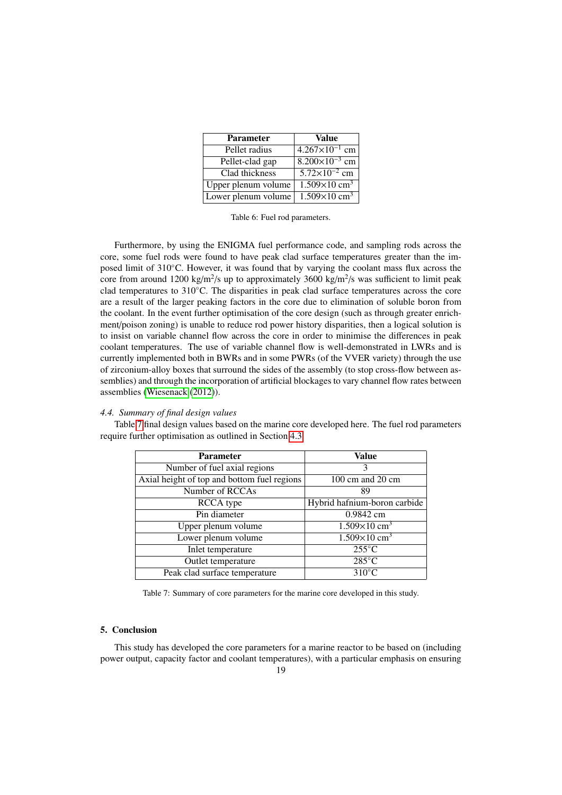<span id="page-18-0"></span>

| <b>Parameter</b>    | Value                                       |
|---------------------|---------------------------------------------|
| Pellet radius       | $4.267 \times 10^{-1}$ cm                   |
| Pellet-clad gap     | $8.200\times10^{-3}$ cm                     |
| Clad thickness      | $5.72 \times 10^{-2}$ cm                    |
| Upper plenum volume | $\frac{1.509 \times 10}{2}$ cm <sup>3</sup> |
| Lower plenum volume | $\overline{1.509\times 10}$ cm <sup>3</sup> |

Table 6: Fuel rod parameters.

Furthermore, by using the ENIGMA fuel performance code, and sampling rods across the core, some fuel rods were found to have peak clad surface temperatures greater than the imposed limit of 310◦C. However, it was found that by varying the coolant mass flux across the core from around 1200 kg/m<sup>2</sup>/s up to approximately 3600 kg/m<sup>2</sup>/s was sufficient to limit peak clad temperatures to 310◦C. The disparities in peak clad surface temperatures across the core are a result of the larger peaking factors in the core due to elimination of soluble boron from the coolant. In the event further optimisation of the core design (such as through greater enrichment/poison zoning) is unable to reduce rod power history disparities, then a logical solution is to insist on variable channel flow across the core in order to minimise the differences in peak coolant temperatures. The use of variable channel flow is well-demonstrated in LWRs and is currently implemented both in BWRs and in some PWRs (of the VVER variety) through the use of zirconium-alloy boxes that surround the sides of the assembly (to stop cross-flow between assemblies) and through the incorporation of artificial blockages to vary channel flow rates between assemblies [\(Wiesenack](#page-21-11) [\(2012\)](#page-21-11)).

#### *4.4. Summary of final design values*

<span id="page-18-1"></span>Table [7](#page-18-1) final design values based on the marine core developed here. The fuel rod parameters require further optimisation as outlined in Section [4.3.](#page-16-0)

| <b>Parameter</b>                            | Value                                |
|---------------------------------------------|--------------------------------------|
| Number of fuel axial regions                | 3                                    |
| Axial height of top and bottom fuel regions | $100 \text{ cm}$ and $20 \text{ cm}$ |
| Number of RCCAs                             | 89                                   |
| RCCA type                                   | Hybrid hafnium-boron carbide         |
| Pin diameter                                | 0.9842 cm                            |
| Upper plenum volume                         | $1.509\times10$ cm <sup>3</sup>      |
| Lower plenum volume                         | $1.509\times10$ cm <sup>3</sup>      |
| Inlet temperature                           | $255^{\circ}$ C                      |
| Outlet temperature                          | $285^{\circ}$ C                      |
| Peak clad surface temperature               | $310^{\circ}$ C                      |

Table 7: Summary of core parameters for the marine core developed in this study.

### 5. Conclusion

This study has developed the core parameters for a marine reactor to be based on (including power output, capacity factor and coolant temperatures), with a particular emphasis on ensuring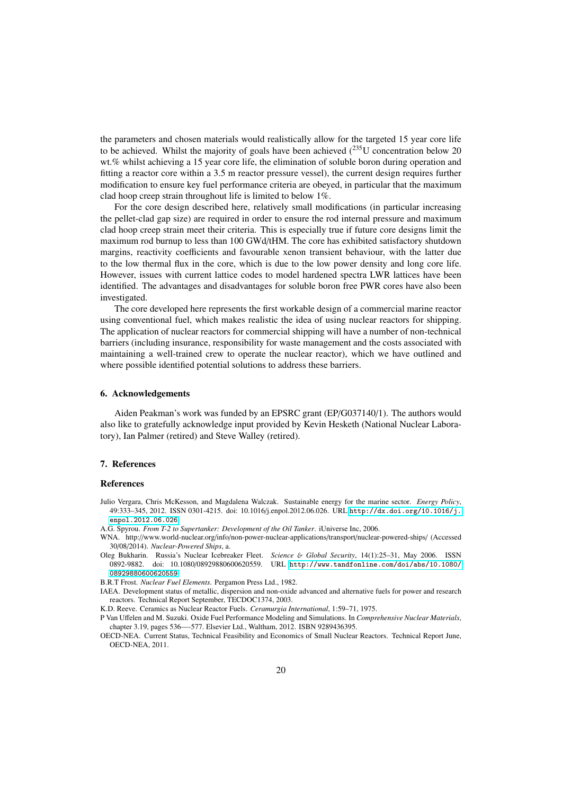the parameters and chosen materials would realistically allow for the targeted 15 year core life to be achieved. Whilst the majority of goals have been achieved  $(^{235}$ U concentration below 20 wt.% whilst achieving a 15 year core life, the elimination of soluble boron during operation and fitting a reactor core within a 3.5 m reactor pressure vessel), the current design requires further modification to ensure key fuel performance criteria are obeyed, in particular that the maximum clad hoop creep strain throughout life is limited to below 1%.

For the core design described here, relatively small modifications (in particular increasing the pellet-clad gap size) are required in order to ensure the rod internal pressure and maximum clad hoop creep strain meet their criteria. This is especially true if future core designs limit the maximum rod burnup to less than 100 GWd/tHM. The core has exhibited satisfactory shutdown margins, reactivity coefficients and favourable xenon transient behaviour, with the latter due to the low thermal flux in the core, which is due to the low power density and long core life. However, issues with current lattice codes to model hardened spectra LWR lattices have been identified. The advantages and disadvantages for soluble boron free PWR cores have also been investigated.

The core developed here represents the first workable design of a commercial marine reactor using conventional fuel, which makes realistic the idea of using nuclear reactors for shipping. The application of nuclear reactors for commercial shipping will have a number of non-technical barriers (including insurance, responsibility for waste management and the costs associated with maintaining a well-trained crew to operate the nuclear reactor), which we have outlined and where possible identified potential solutions to address these barriers.

### 6. Acknowledgements

Aiden Peakman's work was funded by an EPSRC grant (EP/G037140/1). The authors would also like to gratefully acknowledge input provided by Kevin Hesketh (National Nuclear Laboratory), Ian Palmer (retired) and Steve Walley (retired).

### 7. References

#### References

- <span id="page-19-0"></span>Julio Vergara, Chris McKesson, and Magdalena Walczak. Sustainable energy for the marine sector. *Energy Policy*, 49:333–345, 2012. ISSN 0301-4215. doi: 10.1016/j.enpol.2012.06.026. URL [http://dx.doi.org/10.1016/j.](http://dx.doi.org/10.1016/j.enpol.2012.06.026) [enpol.2012.06.026](http://dx.doi.org/10.1016/j.enpol.2012.06.026).
- <span id="page-19-1"></span>A.G. Spyrou. *From T-2 to Supertanker: Development of the Oil Tanker*. iUniverse Inc, 2006.
- <span id="page-19-2"></span>WNA. http://www.world-nuclear.org/info/non-power-nuclear-applications/transport/nuclear-powered-ships/ (Accessed 30/08/2014). *Nuclear-Powered Ships*, a.
- <span id="page-19-3"></span>Oleg Bukharin. Russia's Nuclear Icebreaker Fleet. *Science* & *Global Security*, 14(1):25–31, May 2006. ISSN 0892-9882. doi: 10.1080/08929880600620559. URL [http://www.tandfonline.com/doi/abs/10.1080/](http://www.tandfonline.com/doi/abs/10.1080/08929880600620559) [08929880600620559](http://www.tandfonline.com/doi/abs/10.1080/08929880600620559).
- <span id="page-19-4"></span>B.R.T Frost. *Nuclear Fuel Elements*. Pergamon Press Ltd., 1982.
- <span id="page-19-5"></span>IAEA. Development status of metallic, dispersion and non-oxide advanced and alternative fuels for power and research reactors. Technical Report September, TECDOC1374, 2003.

<span id="page-19-6"></span>K.D. Reeve. Ceramics as Nuclear Reactor Fuels. *Ceramurgia International*, 1:59–71, 1975.

- <span id="page-19-7"></span>P Van Uffelen and M. Suzuki. Oxide Fuel Performance Modeling and Simulations. In *Comprehensive Nuclear Materials*, chapter 3.19, pages 536—-577. Elsevier Ltd., Waltham, 2012. ISBN 9289436395.
- <span id="page-19-8"></span>OECD-NEA. Current Status, Technical Feasibility and Economics of Small Nuclear Reactors. Technical Report June, OECD-NEA, 2011.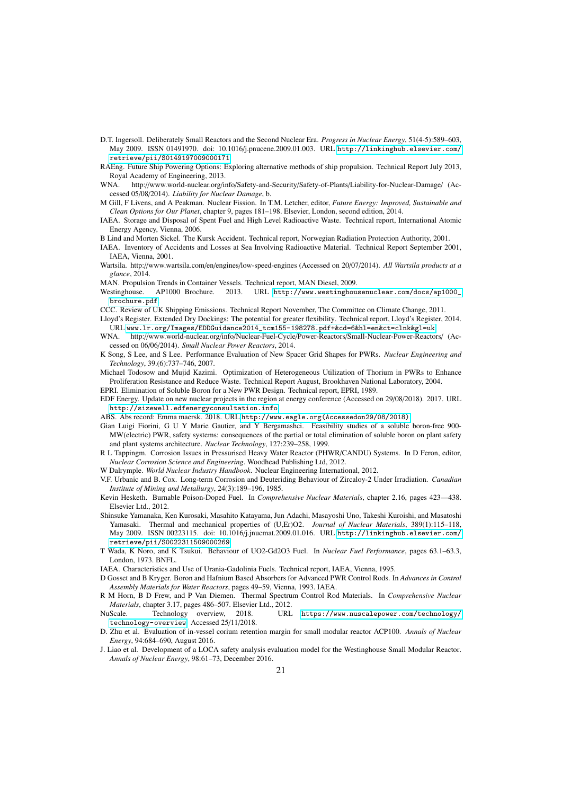- <span id="page-20-0"></span>D.T. Ingersoll. Deliberately Small Reactors and the Second Nuclear Era. *Progress in Nuclear Energy*, 51(4-5):589–603, May 2009. ISSN 01491970. doi: 10.1016/j.pnucene.2009.01.003. URL [http://linkinghub.elsevier.com/](http://linkinghub.elsevier.com/retrieve/pii/S0149197009000171) [retrieve/pii/S0149197009000171](http://linkinghub.elsevier.com/retrieve/pii/S0149197009000171).
- <span id="page-20-1"></span>RAEng. Future Ship Powering Options: Exploring alternative methods of ship propulsion. Technical Report July 2013, Royal Academy of Engineering, 2013.<br>WNA. http://www.world-nuclear.org/in
- <span id="page-20-2"></span>http://www.world-nuclear.org/info/Safety-and-Security/Safety-of-Plants/Liability-for-Nuclear-Damage/ (Accessed 05/08/2014). *Liability for Nuclear Damage*, b.
- <span id="page-20-3"></span>M Gill, F Livens, and A Peakman. Nuclear Fission. In T.M. Letcher, editor, *Future Energy: Improved, Sustainable and Clean Options for Our Planet*, chapter 9, pages 181–198. Elsevier, London, second edition, 2014.
- <span id="page-20-4"></span>IAEA. Storage and Disposal of Spent Fuel and High Level Radioactive Waste. Technical report, International Atomic Energy Agency, Vienna, 2006.
- <span id="page-20-5"></span>B Lind and Morten Sickel. The Kursk Accident. Technical report, Norwegian Radiation Protection Authority, 2001.
- <span id="page-20-6"></span>IAEA. Inventory of Accidents and Losses at Sea Involving Radioactive Material. Technical Report September 2001, IAEA, Vienna, 2001.
- <span id="page-20-7"></span>Wartsila. http://www.wartsila.com/en/engines/low-speed-engines (Accessed on 20/07/2014). *All Wartsila products at a glance*, 2014.
- <span id="page-20-8"></span>MAN. Propulsion Trends in Container Vessels. Technical report, MAN Diesel, 2009.
- <span id="page-20-9"></span>Westinghouse. AP1000 Brochure. 2013. URL [http://www.westinghousenuclear.com/docs/ap1000\\_](http://www.westinghousenuclear.com/docs/ap1000_brochure.pdf) [brochure.pdf](http://www.westinghousenuclear.com/docs/ap1000_brochure.pdf).
- <span id="page-20-10"></span>CCC. Review of UK Shipping Emissions. Technical Report November, The Committee on Climate Change, 2011.
- <span id="page-20-11"></span>Lloyd's Register. Extended Dry Dockings: The potential for greater flexibility. Technical report, Lloyd's Register, 2014. URL [www.lr.org/Images/EDDGuidance2014\\_tcm155-198278.pdf+&cd=6&hl=en&ct=clnk&gl=uk](www.lr.org/Images/EDD Guidance 2014_tcm155-198278.pdf+&cd=6&hl=en&ct=clnk&gl=uk).
- <span id="page-20-12"></span>WNA. http://www.world-nuclear.org/info/Nuclear-Fuel-Cycle/Power-Reactors/Small-Nuclear-Power-Reactors/ (Accessed on 06/06/2014). *Small Nuclear Power Reactors*, 2014.
- <span id="page-20-13"></span>K Song, S Lee, and S Lee. Performance Evaluation of New Spacer Grid Shapes for PWRs. *Nuclear Engineering and Technology*, 39.(6):737–746, 2007.
- <span id="page-20-14"></span>Michael Todosow and Mujid Kazimi. Optimization of Heterogeneous Utilization of Thorium in PWRs to Enhance Proliferation Resistance and Reduce Waste. Technical Report August, Brookhaven National Laboratory, 2004. EPRI. Elimination of Soluble Boron for a New PWR Design. Technical report, EPRI, 1989.
- <span id="page-20-16"></span><span id="page-20-15"></span>EDF Energy. Update on new nuclear projects in the region at energy conference (Accessed on 29/08/2018). 2017. URL
	- <http://sizewell.edfenergyconsultation.info>.
- <span id="page-20-17"></span>ABS. Abs record: Emma maersk. 2018. URL [http://www.eagle.org\(Accessedon29/08/2018\)](http://www.eagle.org (Accessed on 29/08/2018)).
- <span id="page-20-18"></span>Gian Luigi Fiorini, G U Y Marie Gautier, and Y Bergamashci. Feasibility studies of a soluble boron-free 900- MW(electric) PWR, safety systems: consequences of the partial or total elimination of soluble boron on plant safety and plant systems architecture. *Nuclear Technology*, 127:239–258, 1999.
- <span id="page-20-19"></span>R L Tappingm. Corrosion Issues in Pressurised Heavy Water Reactor (PHWR/CANDU) Systems. In D Feron, editor, *Nuclear Corrosion Science and Engineering*. Woodhead Publishing Ltd, 2012.
- <span id="page-20-20"></span>W Dalrymple. *World Nuclear Industry Handbook*. Nuclear Engineering International, 2012.
- <span id="page-20-21"></span>V.F. Urbanic and B. Cox. Long-term Corrosion and Deuteriding Behaviour of Zircaloy-2 Under Irradiation. *Canadian Institute of Mining and Metallurgy*, 24(3):189–196, 1985.
- <span id="page-20-22"></span>Kevin Hesketh. Burnable Poison-Doped Fuel. In *Comprehensive Nuclear Materials*, chapter 2.16, pages 423—438. Elsevier Ltd., 2012.
- <span id="page-20-23"></span>Shinsuke Yamanaka, Ken Kurosaki, Masahito Katayama, Jun Adachi, Masayoshi Uno, Takeshi Kuroishi, and Masatoshi Yamasaki. Thermal and mechanical properties of (U,Er)O2. *Journal of Nuclear Materials*, 389(1):115–118, May 2009. ISSN 00223115. doi: 10.1016/j.jnucmat.2009.01.016. URL [http://linkinghub.elsevier.com/](http://linkinghub.elsevier.com/retrieve/pii/S0022311509000269) [retrieve/pii/S0022311509000269](http://linkinghub.elsevier.com/retrieve/pii/S0022311509000269).
- <span id="page-20-24"></span>T Wada, K Noro, and K Tsukui. Behaviour of UO2-Gd2O3 Fuel. In *Nuclear Fuel Performance*, pages 63.1–63.3, London, 1973. BNFL.
- <span id="page-20-25"></span>IAEA. Characteristics and Use of Urania-Gadolinia Fuels. Technical report, IAEA, Vienna, 1995.
- <span id="page-20-26"></span>D Gosset and B Kryger. Boron and Hafnium Based Absorbers for Advanced PWR Control Rods. In *Advances in Control Assembly Materials for Water Reactors*, pages 49–59, Vienna, 1993. IAEA.
- <span id="page-20-27"></span>R M Horn, B D Frew, and P Van Diemen. Thermal Spectrum Control Rod Materials. In *Comprehensive Nuclear Materials*, chapter 3.17, pages 486–507. Elsevier Ltd., 2012.
- <span id="page-20-28"></span>NuScale. Technology overview, 2018. URL [https://www.nuscalepower.com/technology/](https://www.nuscalepower.com/technology/technology-overview) [technology-overview](https://www.nuscalepower.com/technology/technology-overview). Accessed 25/11/2018.
- <span id="page-20-29"></span>D. Zhu et al. Evaluation of in-vessel corium retention margin for small modular reactor ACP100. *Annals of Nuclear Energy*, 94:684–690, August 2016.
- <span id="page-20-30"></span>J. Liao et al. Development of a LOCA safety analysis evaluation model for the Westinghouse Small Modular Reactor. *Annals of Nuclear Energy*, 98:61–73, December 2016.